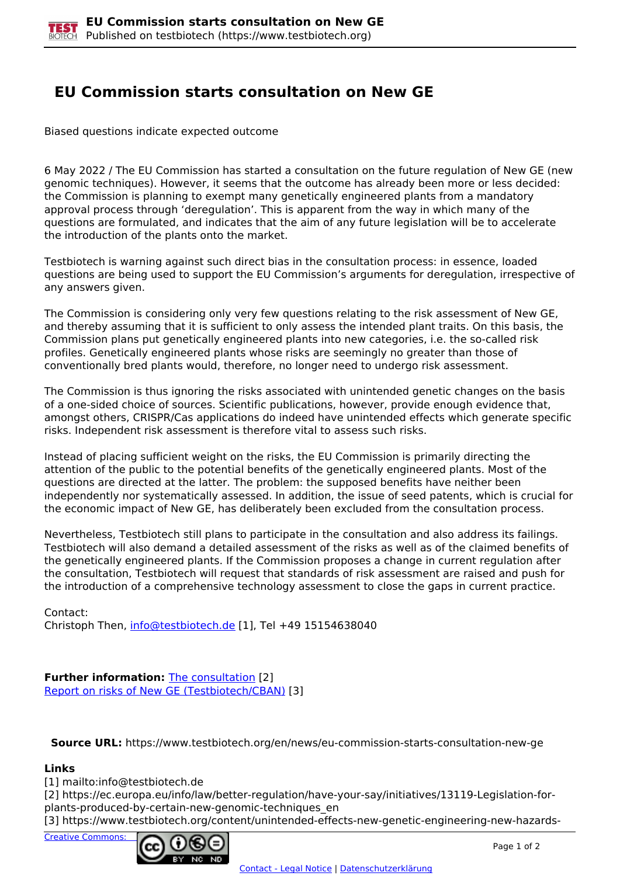## **EU Commission starts consultation on New GE**

Biased questions indicate expected outcome

6 May 2022 / The EU Commission has started a consultation on the future regulation of New GE (new genomic techniques). However, it seems that the outcome has already been more or less decided: the Commission is planning to exempt many genetically engineered plants from a mandatory approval process through 'deregulation'. This is apparent from the way in which many of the questions are formulated, and indicates that the aim of any future legislation will be to accelerate the introduction of the plants onto the market.

Testbiotech is warning against such direct bias in the consultation process: in essence, loaded questions are being used to support the EU Commission's arguments for deregulation, irrespective of any answers given.

The Commission is considering only very few questions relating to the risk assessment of New GE, and thereby assuming that it is sufficient to only assess the intended plant traits. On this basis, the Commission plans put genetically engineered plants into new categories, i.e. the so-called risk profiles. Genetically engineered plants whose risks are seemingly no greater than those of conventionally bred plants would, therefore, no longer need to undergo risk assessment.

The Commission is thus ignoring the risks associated with unintended genetic changes on the basis of a one-sided choice of sources. Scientific publications, however, provide enough evidence that, amongst others, CRISPR/Cas applications do indeed have unintended effects which generate specific risks. Independent risk assessment is therefore vital to assess such risks.

Instead of placing sufficient weight on the risks, the EU Commission is primarily directing the attention of the public to the potential benefits of the genetically engineered plants. Most of the questions are directed at the latter. The problem: the supposed benefits have neither been independently nor systematically assessed. In addition, the issue of seed patents, which is crucial for the economic impact of New GE, has deliberately been excluded from the consultation process.

Nevertheless, Testbiotech still plans to participate in the consultation and also address its failings. Testbiotech will also demand a detailed assessment of the risks as well as of the claimed benefits of the genetically engineered plants. If the Commission proposes a change in current regulation after the consultation, Testbiotech will request that standards of risk assessment are raised and push for the introduction of a comprehensive technology assessment to close the gaps in current practice.

Contact: Christoph Then, [info@testbiotech.de](mailto:info@testbiotech.de) [1], Tel +49 15154638040

**Further information:** The consultation [2] Report on risks of New GE (Testbiotech/CBAN) [3]

**Source URL:** https://www.testbiotech.org/en/news/eu-commission-starts-consultation-new-ge

## **Links**

[1] mailto:info@testbiotech.de

[2] https://ec.europa.eu/info/law/better-regulation/have-your-say/initiatives/13119-Legislation-forplants-produced-by-certain-new-genomic-techniques\_en

[3] https://www.testbiotech.org/content/unintended-effects-new-genetic-engineering-new-hazards-